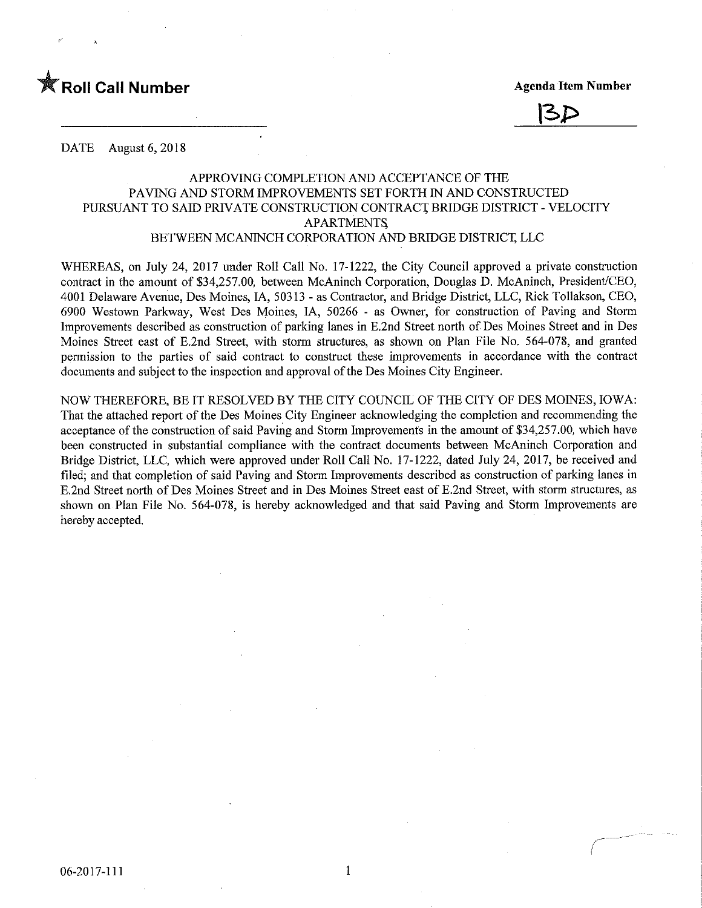



DATE August 6, 2018

# APPROVING COMPLETION AND ACCEPTANCE OF THE PAVING AND STORM IMPROVEMENTS SET FORTH IN AND CONSTRUCTED PURSUANT TO SAID PRIVATE CONSTRUCTION CONTRACT BRIDGE DISTRICT - VELOCITY **APARTMENTS** BETWEEN MCANINCH CORPORATION AND BRIDGE DISTRICT, LLC

WHEREAS, on July 24, 2017 under Roll Call No. 17-1222, the City Council approved a private construction contract in the amount of \$34,257.00, between McAninch Corporation, Douglas D. McAninch, President/CEO, 4001 Delaware Avenue, Des Moines, IA, 50313 - as Contractor, and Bridge District, LLC, Rick Tollakson, CEO, 6900 Westown Parkway, West Des Moines, IA, 50266 - as Owner, for construction of Paving and Storm Improvements described as construction of parking lanes in E.2nd Street north of Des Moines Street and in Des Moines Street east of E.2nd Street, with storm structures, as shown on Plan File No. 564-078, and granted permission to the parties of said contract to construct these knprovements in accordance with the contract documents and subject to the inspection and approval of the Des Moines City Engineer.

NOW THEREFORE, BE IT RESOLVED BY THE CITY COUNCIL OF THE CITY OF DES MOINES, IOWA: That the attached report of the Des Moines City Engineer acknowledging the completion and recommending the acceptance of the construction of said Paving and Storm Improvements in the amount of \$34,257.00, which have been constructed in substantial compliance with the contract documents between McAniach Corporation and Bridge District, LLC, which were approved under Roll Call No. 17-1222, dated July 24, 2017, be received and filed; and that completion of said Paving and Storm Improvements described as construction of parking lanes in E.2nd Street north of Des Moines Street and in Des Moines Street east of E.2nd Street, with storm structures, as shown on Plan File No. 564-078, is hereby acknowledged and that said Paving and Storm Improvements are hereby accepted.

 $\mathbf{1}$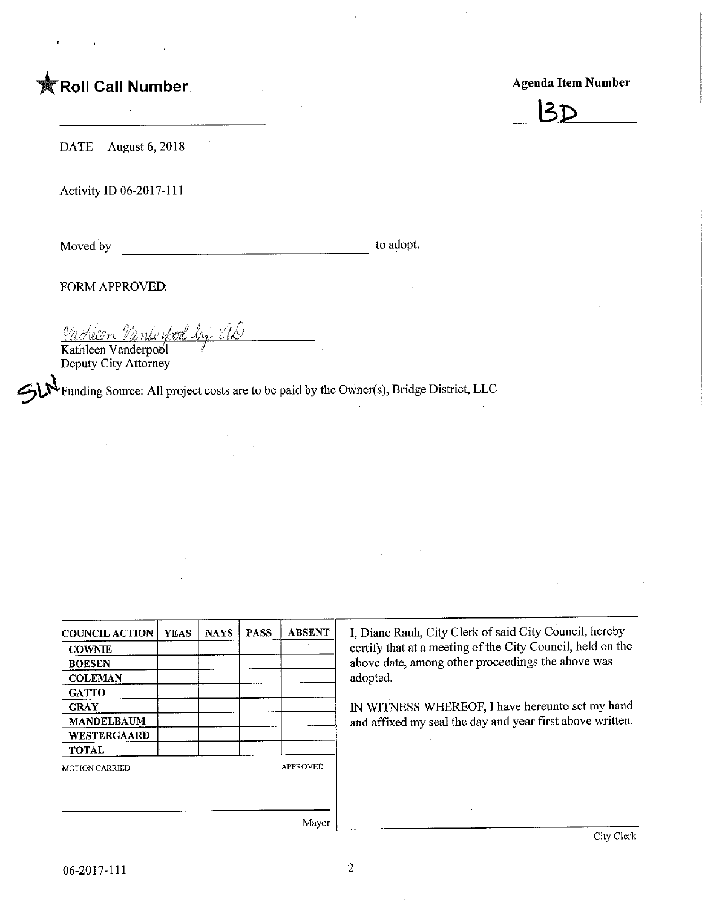# **TRoll Call Number**

## Agenda Item Number



DATE August 6, 2018

Activity ID 06-2017-111

Moved by to adopt.

FORM APPROVED;

<u>Cachlan Nankeyson by AD</u>

Kathleen Vanderpool Deputy City Attorney

'Funding Source: All project costs are to be paid by the Owner(s), Bridge District, LLC

| <b>COUNCIL ACTION</b> | <b>YEAS</b> | <b>NAYS</b> | <b>PASS</b>     | <b>ABSENT</b> |
|-----------------------|-------------|-------------|-----------------|---------------|
| <b>COWNIE</b>         |             |             |                 |               |
| <b>BOESEN</b>         |             |             |                 |               |
| <b>COLEMAN</b>        |             |             |                 |               |
| <b>GATTO</b>          |             |             |                 |               |
| <b>GRAY</b>           |             |             |                 |               |
| <b>MANDELBAUM</b>     |             |             |                 |               |
| <b>WESTERGAARD</b>    |             |             |                 |               |
| <b>TOTAL</b>          |             |             |                 |               |
| <b>MOTION CARRIED</b> |             |             | <b>APPROVED</b> |               |
|                       |             |             |                 |               |
|                       |             |             |                 |               |

I, Diane Rauh, City Clerk of said City Council, hereby certify that at a meeting of the City Council, held on the above date, among other proceedings the above was adopted.

IN WITNESS WHEREOF, I have hereunto set my hand and affixed my seal the day and year first above written.

Mayor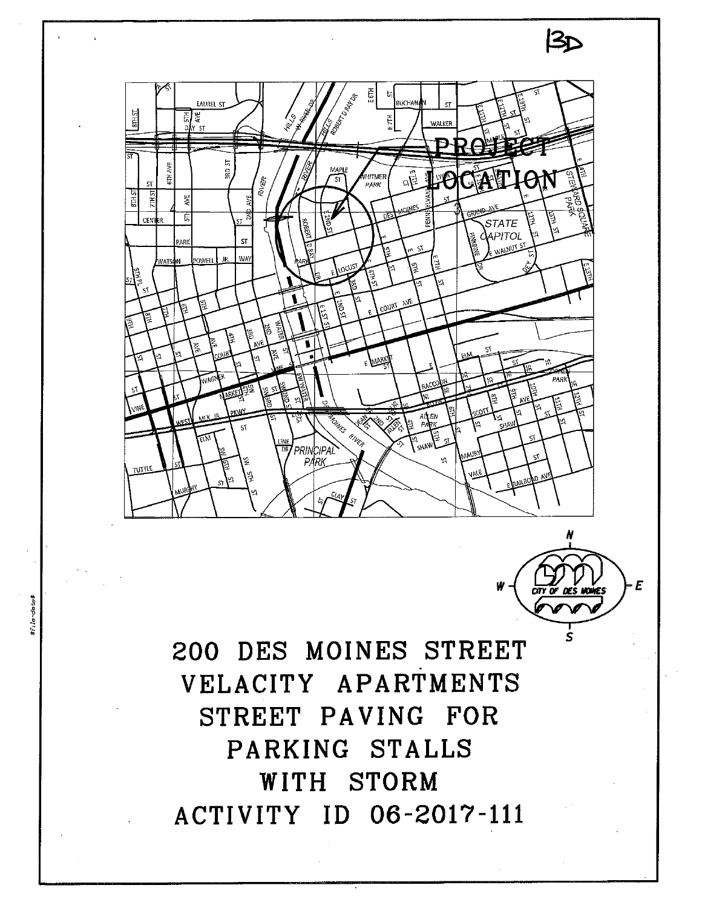



 $3<sub>D</sub>$ 

200 DES MOINES STREET VELACITY APARTMENTS STREET PAVING FOR PARKING STALLS WITH STORM ACTIVITY ID 06-2017-111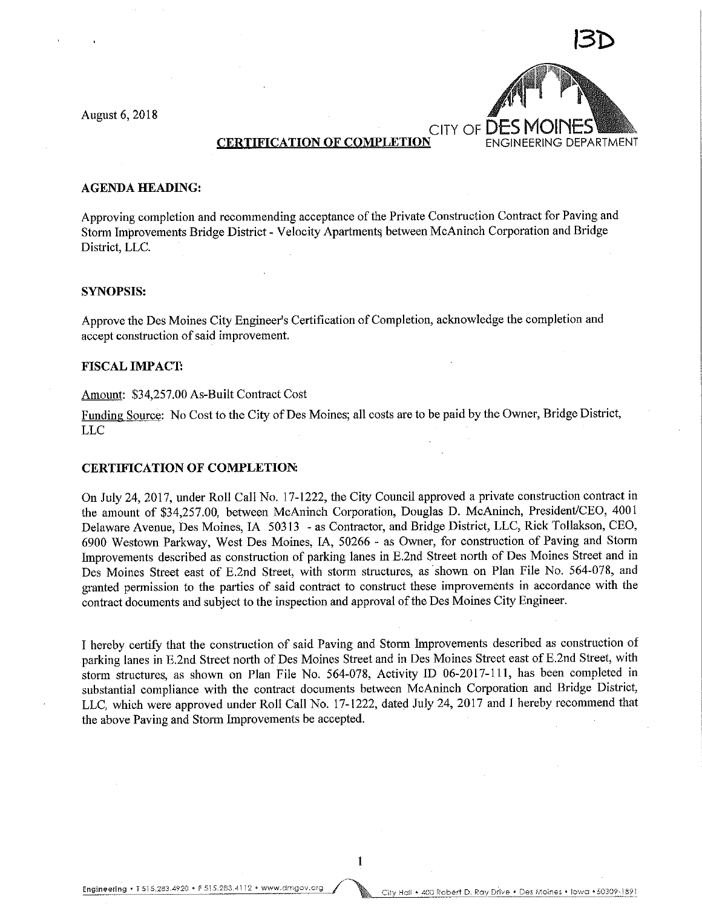August 6, 2018



#### AGENDA HEADING:

Approving completion and recommending acceptance of the Private Construction Contract for Paving and Storm Improvements Bridge District - Velocity Apartments between McAninch Corporation and Bridge District, LLC.

#### SYNOPSIS:

Approve the Des Moines City Engineer's Certification of Completion, acknowledge the completion and accept construction of said improvement.

#### FISCAL IMPACT

#### Amount: \$34,257.00 As-Built Contract Cost

Funding Source: No Cost to the City of Des Moines; all costs are to be paid by the Owner, Bridge District, LLC

### CERTIFICATION OF COMPLETION:

On July 24, 2017, under Roll Call No. 17-1222, the City Council approved a private construction contract in the amount of \$34,257.00, between McAninch Corporation, Douglas D. McAninch, President/CEO, 4001 Delaware Avenue, Des Moines, IA 50313 - as Contractor, and Bridge District, LLC, Rick Tollakson, CEO, 6900 Westown Parkway, West Des Moines, IA, 50266 - as Owner, for construction of Paving and Storm Improvements described as construction of parking lanes in E.2nd Street north of Des Moines Street and in Des Moines Street east of E.2nd Street, with storm structures, as shown on Plan File No. 564-078, and granted permission to the parties of said contract to construct these improvements in accordance with the contract documents and subject to the inspection and approval of the Des Moines City Engineer.

I hereby certify that the construction of said Paving and Storm Improvements described as construction of parking lanes in E.2nd Street north of Des Moines Street and in Des Moines Street east of E.2nd Street, with storm structures, as shown on Plan File No. 564-078, Activity ID 06-2017-111, has been completed in substantial compliance with the contract documents between McAninch Corporation and Bridge District, LLC, which were approved under Roll Call No. 17-1222, dated July 24, 2017 and I hereby recommend that the above Paving and Storm Improvements be accepted.

 $\mathbf{1}$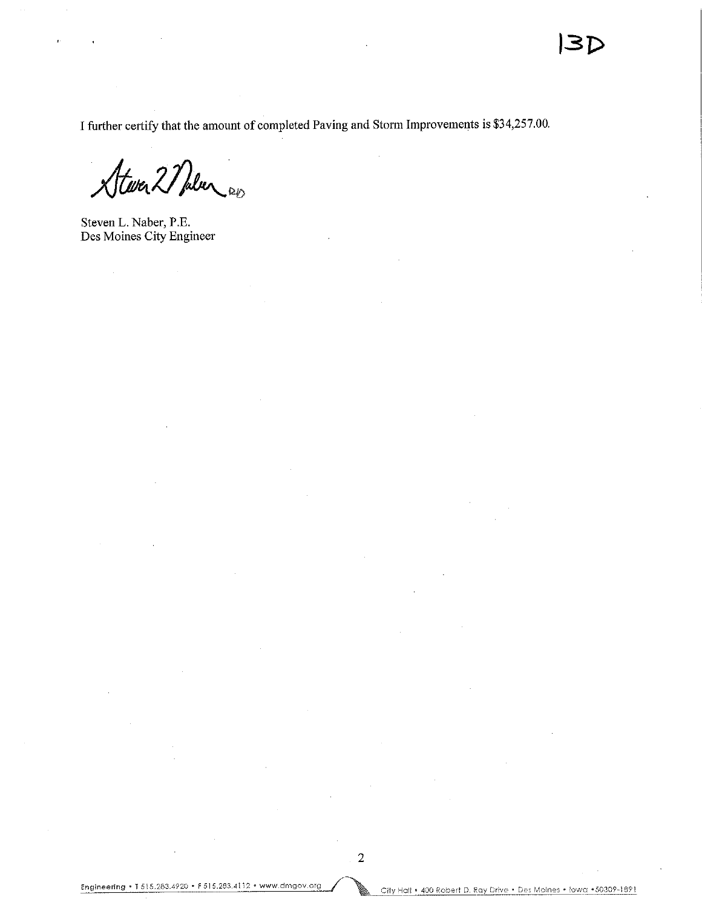I further certify that the amount of completed Paving and Storm Improvements Is \$34,257.00.

Stever 2 Pulser

Steven L. Naber, P.E. Des Moines City Engineer

 $\mathcal{A}$ 

ę.

City Hall • 400 Robert D, Ray Drive • Des Moines • Iowa • 50309-1891